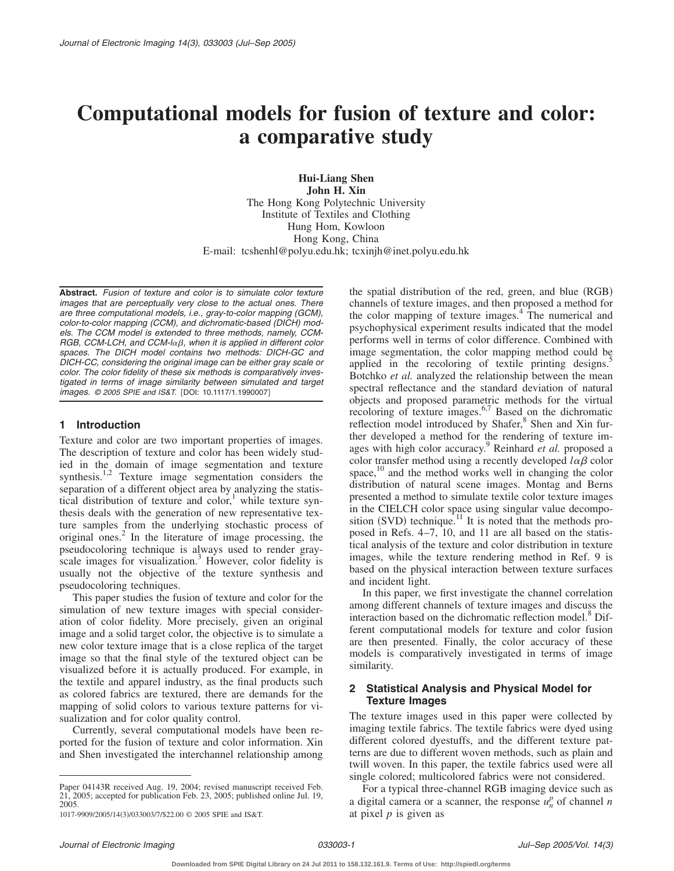# **Computational models for fusion of texture and color: a comparative study**

**Hui-Liang Shen John H. Xin** The Hong Kong Polytechnic University Institute of Textiles and Clothing Hung Hom, Kowloon Hong Kong, China E-mail: tcshenhl@polyu.edu.hk; tcxinjh@inet.polyu.edu.hk

**Abstract.** *Fusion of texture and color is to simulate color texture images that are perceptually very close to the actual ones. There are three computational models, i.e., gray-to-color mapping (GCM), color-to-color mapping (CCM), and dichromatic-based (DICH) models. The CCM model is extended to three methods, namely, CCM-*RGB, CCM-LCH, and CCM-lαβ, when it is applied in different color *spaces. The DICH model contains two methods: DICH-GC and DICH-CC, considering the original image can be either gray scale or color. The color fidelity of these six methods is comparatively investigated in terms of image similarity between simulated and target images.* © 2005 SPIE and IS&T. [DOI: 10.1117/1.1990007]

# **1 Introduction**

Texture and color are two important properties of images. The description of texture and color has been widely studied in the domain of image segmentation and texture synthesis.<sup>1,2</sup> Texture image segmentation considers the separation of a different object area by analyzing the statistical distribution of texture and  $color<sub>i</sub><sup>1</sup>$  while texture synthesis deals with the generation of new representative texture samples from the underlying stochastic process of original ones.<sup>2</sup> In the literature of image processing, the pseudocoloring technique is always used to render grayscale images for visualization.<sup>3</sup> However, color fidelity is usually not the objective of the texture synthesis and pseudocoloring techniques.

This paper studies the fusion of texture and color for the simulation of new texture images with special consideration of color fidelity. More precisely, given an original image and a solid target color, the objective is to simulate a new color texture image that is a close replica of the target image so that the final style of the textured object can be visualized before it is actually produced. For example, in the textile and apparel industry, as the final products such as colored fabrics are textured, there are demands for the mapping of solid colors to various texture patterns for visualization and for color quality control.

Currently, several computational models have been reported for the fusion of texture and color information. Xin and Shen investigated the interchannel relationship among

Paper 04143R received Aug. 19, 2004; revised manuscript received Feb. 21, 2005; accepted for publication Feb. 23, 2005; published online Jul. 19, 2005.

the spatial distribution of the red, green, and blue (RGB) channels of texture images, and then proposed a method for the color mapping of texture images.<sup>4</sup> The numerical and psychophysical experiment results indicated that the model performs well in terms of color difference. Combined with image segmentation, the color mapping method could be applied in the recoloring of textile printing designs. $\cdot$ Botchko *et al.* analyzed the relationship between the mean spectral reflectance and the standard deviation of natural objects and proposed parametric methods for the virtual recoloring of texture images.<sup>6,7</sup> Based on the dichromatic reflection model introduced by Shafer,<sup>8</sup> Shen and Xin further developed a method for the rendering of texture images with high color accuracy.9 Reinhard *et al.* proposed a color transfer method using a recently developed  $l\alpha\beta$  color space,<sup>10</sup> and the method works well in changing the color distribution of natural scene images. Montag and Berns presented a method to simulate textile color texture images in the CIELCH color space using singular value decomposition (SVD) technique.<sup>11</sup> It is noted that the methods proposed in Refs. 4–7, 10, and 11 are all based on the statistical analysis of the texture and color distribution in texture images, while the texture rendering method in Ref. 9 is based on the physical interaction between texture surfaces and incident light.

In this paper, we first investigate the channel correlation among different channels of texture images and discuss the interaction based on the dichromatic reflection model.<sup>8</sup> Different computational models for texture and color fusion are then presented. Finally, the color accuracy of these models is comparatively investigated in terms of image similarity.

## **2 Statistical Analysis and Physical Model for Texture Images**

The texture images used in this paper were collected by imaging textile fabrics. The textile fabrics were dyed using different colored dyestuffs, and the different texture patterns are due to different woven methods, such as plain and twill woven. In this paper, the textile fabrics used were all single colored; multicolored fabrics were not considered.

For a typical three-channel RGB imaging device such as a digital camera or a scanner, the response  $u_n^p$  of channel *n* at pixel *p* is given as

<sup>1017-9909/2005/14(3)/033003/7/\$22.00 @ 2005</sup> SPIE and IS&T.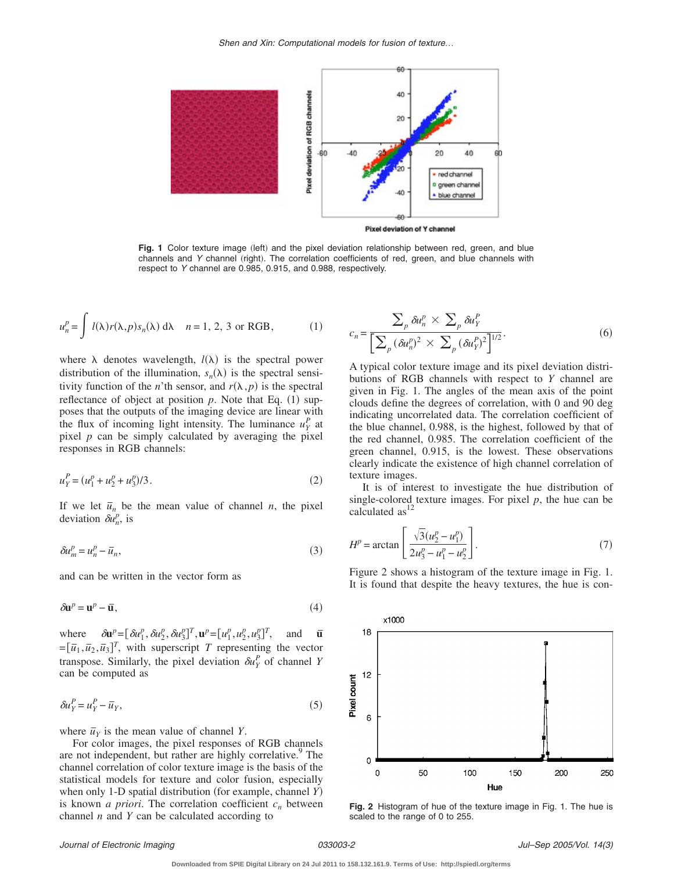*Shen and Xin: Computational models for fusion of texture*…



Fig. 1 Color texture image (left) and the pixel deviation relationship between red, green, and blue channels and *Y* channel (right). The correlation coefficients of red, green, and blue channels with respect to *Y* channel are 0.985, 0.915, and 0.988, respectively.

$$
u_n^p = \int l(\lambda)r(\lambda, p)s_n(\lambda) d\lambda \quad n = 1, 2, 3 \text{ or RGB},
$$
 (1)

where  $\lambda$  denotes wavelength,  $l(\lambda)$  is the spectral power distribution of the illumination,  $s_n(\lambda)$  is the spectral sensitivity function of the *n*'th sensor, and  $r(\lambda, p)$  is the spectral reflectance of object at position  $p$ . Note that Eq.  $(1)$  supposes that the outputs of the imaging device are linear with the flux of incoming light intensity. The luminance  $u_Y^P$  at pixel *p* can be simply calculated by averaging the pixel responses in RGB channels:

$$
u_Y^P = (u_1^p + u_2^p + u_3^p)/3.
$$
 (2)

If we let  $\bar{u}_n$  be the mean value of channel *n*, the pixel deviation  $\delta u_n^p$ , is

$$
\delta u_m^p = u_n^p - \overline{u}_n,\tag{3}
$$

and can be written in the vector form as

$$
\delta \mathbf{u}^p = \mathbf{u}^p - \overline{\mathbf{u}},\tag{4}
$$

where  $\delta \mathbf{u}^p = [\delta u_1^p, \delta u_2^p, \delta u_3^p]^T, \mathbf{u}^p = [u_1^p, u_2^p, u_3^p]$ *<sup>T</sup>*, and *¯* **u** $=[\bar{u}_1, \bar{u}_2, \bar{u}_3]^T$ , with superscript *T* representing the vector transpose. Similarly, the pixel deviation  $\delta u_Y^P$  of channel *Y* can be computed as

$$
\delta u_Y^P = u_Y^P - \overline{u}_Y,\tag{5}
$$

where  $\bar{u}_Y$  is the mean value of channel *Y*.

For color images, the pixel responses of RGB channels are not independent, but rather are highly correlative.<sup>9</sup> The channel correlation of color texture image is the basis of the statistical models for texture and color fusion, especially when only 1-D spatial distribution (for example, channel *Y*) is known *a priori*. The correlation coefficient  $c_n$  between channel *n* and *Y* can be calculated according to

$$
c_n = \frac{\sum_p \delta u_n^p \times \sum_p \delta u_Y^p}{\left[\sum_p (\delta u_n^p)^2 \times \sum_p (\delta u_Y^p)^2\right]^{1/2}}.
$$
\n(6)

A typical color texture image and its pixel deviation distributions of RGB channels with respect to *Y* channel are given in Fig. 1. The angles of the mean axis of the point clouds define the degrees of correlation, with 0 and 90 deg indicating uncorrelated data. The correlation coefficient of the blue channel, 0.988, is the highest, followed by that of the red channel, 0.985. The correlation coefficient of the green channel, 0.915, is the lowest. These observations clearly indicate the existence of high channel correlation of texture images.

It is of interest to investigate the hue distribution of single-colored texture images. For pixel *p*, the hue can be calculated  $as<sup>1</sup>$ 

$$
H^{p} = \arctan\left[\frac{\sqrt{3}(u_{2}^{p} - u_{1}^{p})}{2u_{3}^{p} - u_{1}^{p} - u_{2}^{p}}\right].
$$
\n(7)

Figure 2 shows a histogram of the texture image in Fig. 1. It is found that despite the heavy textures, the hue is con-



**Fig. 2** Histogram of hue of the texture image in Fig. 1. The hue is scaled to the range of 0 to 255.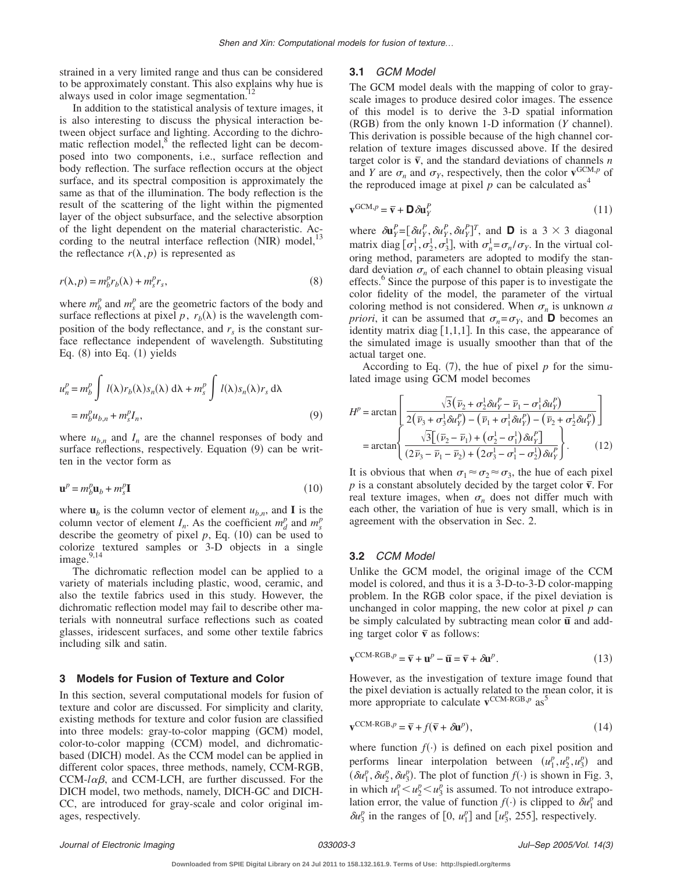strained in a very limited range and thus can be considered to be approximately constant. This also explains why hue is always used in color image segmentation. $12$ 

In addition to the statistical analysis of texture images, it is also interesting to discuss the physical interaction between object surface and lighting. According to the dichromatic reflection model, $8$  the reflected light can be decomposed into two components, i.e., surface reflection and body reflection. The surface reflection occurs at the object surface, and its spectral composition is approximately the same as that of the illumination. The body reflection is the result of the scattering of the light within the pigmented layer of the object subsurface, and the selective absorption of the light dependent on the material characteristic. According to the neutral interface reflection (NIR) model, $^{13}$ the reflectance  $r(\lambda, p)$  is represented as

$$
r(\lambda, p) = m_b^p r_b(\lambda) + m_s^p r_s,
$$
\n(8)

where  $m_b^p$  and  $m_s^p$  are the geometric factors of the body and surface reflections at pixel p,  $r_b(\lambda)$  is the wavelength composition of the body reflectance, and  $r<sub>s</sub>$  is the constant surface reflectance independent of wavelength. Substituting Eq.  $(8)$  into Eq.  $(1)$  yields

$$
u_n^p = m_b^p \int l(\lambda) r_b(\lambda) s_n(\lambda) d\lambda + m_s^p \int l(\lambda) s_n(\lambda) r_s d\lambda
$$
  
=  $m_b^p u_{b,n} + m_s^p I_n,$  (9)

where  $u_{h,n}$  and  $I_n$  are the channel responses of body and surface reflections, respectively. Equation (9) can be written in the vector form as

$$
\mathbf{u}^p = m_b^p \mathbf{u}_b + m_s^p \mathbf{I} \tag{10}
$$

where  $\mathbf{u}_b$  is the column vector of element  $u_{b,n}$ , and **I** is the column vector of element  $I_n$ . As the coefficient  $m_d^p$  and  $m_s^p$ describe the geometry of pixel  $p$ , Eq.  $(10)$  can be used to colorize textured samples or 3-D objects in a single image. $9,14$ 

The dichromatic reflection model can be applied to a variety of materials including plastic, wood, ceramic, and also the textile fabrics used in this study. However, the dichromatic reflection model may fail to describe other materials with nonneutral surface reflections such as coated glasses, iridescent surfaces, and some other textile fabrics including silk and satin.

#### **3 Models for Fusion of Texture and Color**

In this section, several computational models for fusion of texture and color are discussed. For simplicity and clarity, existing methods for texture and color fusion are classified into three models: gray-to-color mapping (GCM) model, color-to-color mapping (CCM) model, and dichromaticbased (DICH) model. As the CCM model can be applied in different color spaces, three methods, namely, CCM-RGB,  $CCM$ - $l\alpha\beta$ , and CCM-LCH, are further discussed. For the DICH model, two methods, namely, DICH-GC and DICH-CC, are introduced for gray-scale and color original images, respectively.

#### **3.1** *GCM Model*

The GCM model deals with the mapping of color to grayscale images to produce desired color images. The essence of this model is to derive the 3-D spatial information (RGB) from the only known 1-D information (Y channel). This derivation is possible because of the high channel correlation of texture images discussed above. If the desired target color is  $\overline{v}$ , and the standard deviations of channels *n* and *Y* are  $\sigma_n$  and  $\sigma_Y$ , respectively, then the color  $\mathbf{v}^{\text{GCM},p}$  of the reproduced image at pixel  $p$  can be calculated as<sup>4</sup>

$$
\mathbf{v}^{\text{GCM},p} = \overline{\mathbf{v}} + \mathbf{D} \, \delta \mathbf{u}_Y^P \tag{11}
$$

where  $\delta \mathbf{u}_Y^P = [\delta u_Y^P, \delta u_Y^P, \delta u_Y^P]^T$ , and **D** is a 3 × 3 diagonal matrix diag  $[\sigma_1^1, \sigma_2^1, \sigma_3^1]$ , with  $\sigma_n^1 = \sigma_n / \sigma_Y$ . In the virtual coloring method, parameters are adopted to modify the standard deviation  $\sigma_n$  of each channel to obtain pleasing visual effects.<sup>8</sup> Since the purpose of this paper is to investigate the color fidelity of the model, the parameter of the virtual coloring method is not considered. When  $\sigma_n$  is unknown *a priori*, it can be assumed that  $\sigma_n = \sigma_Y$ , and **D** becomes an identity matrix diag  $[1,1,1]$ . In this case, the appearance of the simulated image is usually smoother than that of the actual target one.

According to Eq.  $(7)$ , the hue of pixel *p* for the simulated image using GCM model becomes

$$
H^{p} = \arctan\left[\frac{\sqrt{3}(\bar{\nu}_{2} + \sigma_{2}^{1}\delta u_{Y}^{P} - \bar{\nu}_{1} - \sigma_{1}^{1}\delta u_{Y}^{P})}{2(\bar{\nu}_{3} + \sigma_{3}^{1}\delta u_{Y}^{P}) - (\bar{\nu}_{1} + \sigma_{1}^{1}\delta u_{Y}^{P}) - (\bar{\nu}_{2} + \sigma_{2}^{1}\delta u_{Y}^{P})}\right]
$$

$$
= \arctan\left\{\frac{\sqrt{3}[(\bar{\nu}_{2} - \bar{\nu}_{1}) + (\sigma_{2}^{1} - \sigma_{1}^{1})\delta u_{Y}^{P}]}{(2\bar{\nu}_{3} - \bar{\nu}_{1} - \bar{\nu}_{2}) + (2\sigma_{3}^{1} - \sigma_{1}^{1} - \sigma_{2}^{1})\delta u_{Y}^{P}}\right\}.
$$
(12)

It is obvious that when  $\sigma_1 \approx \sigma_2 \approx \sigma_3$ , the hue of each pixel *p* is a constant absolutely decided by the target color  $\bar{v}$ . For real texture images, when  $\sigma_n$  does not differ much with each other, the variation of hue is very small, which is in agreement with the observation in Sec. 2.

### **3.2** *CCM Model*

Unlike the GCM model, the original image of the CCM model is colored, and thus it is a 3-D-to-3-D color-mapping problem. In the RGB color space, if the pixel deviation is unchanged in color mapping, the new color at pixel *p* can be simply calculated by subtracting mean color  $\bar{u}$  and adding target color  $\bar{v}$  as follows:

$$
\mathbf{v}^{\text{CCM-RGB},p} = \overline{\mathbf{v}} + \mathbf{u}^p - \overline{\mathbf{u}} = \overline{\mathbf{v}} + \delta \mathbf{u}^p. \tag{13}
$$

However, as the investigation of texture image found that the pixel deviation is actually related to the mean color, it is more appropriate to calculate  $\mathbf{v}^{\text{CCM-RGB},p}$  as<sup>5</sup>

$$
\mathbf{v}^{\text{CCM-RGB},p} = \overline{\mathbf{v}} + f(\overline{\mathbf{v}} + \delta \mathbf{u}^p),
$$
\n(14)

where function  $f(\cdot)$  is defined on each pixel position and performs linear interpolation between  $(u_1^p, u_2^p, u_3^p)$  and  $(\delta u_1^p, \delta u_2^p, \delta u_3^p)$ . The plot of function  $f(\cdot)$  is shown in Fig. 3, in which  $u_1^p < u_2^p < u_3^p$  is assumed. To not introduce extrapolation error, the value of function  $f(\cdot)$  is clipped to  $\delta u_1^p$  and  $\delta u_3^p$  in the ranges of [0,  $u_1^p$ ] and [ $u_3^p$ , 255], respectively.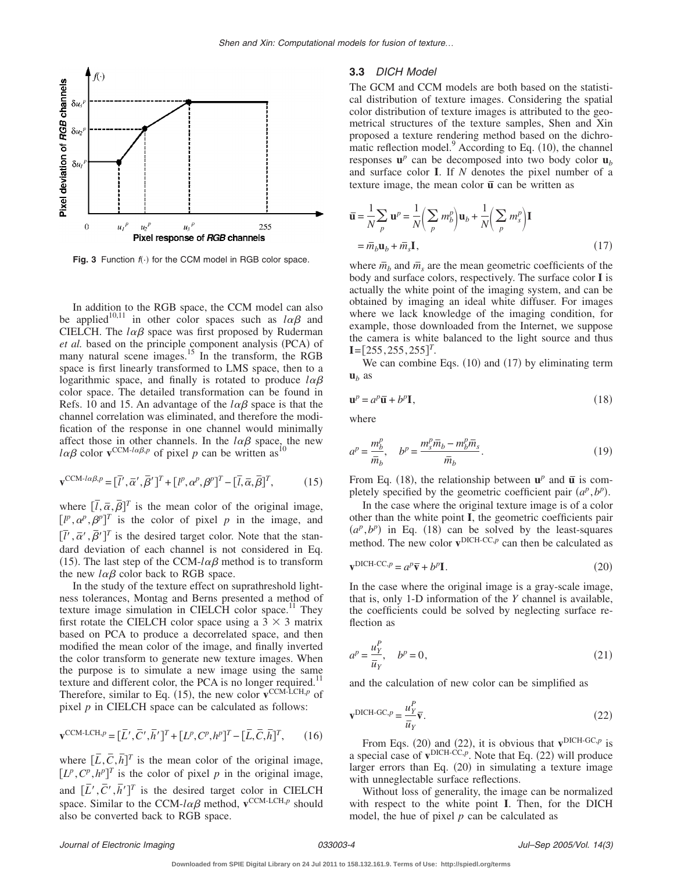

Fig. 3 Function  $f(\cdot)$  for the CCM model in RGB color space.

In addition to the RGB space, the CCM model can also be applied<sup>10,11</sup> in other color spaces such as  $l\alpha\beta$  and CIELCH. The  $l\alpha\beta$  space was first proposed by Ruderman et al. based on the principle component analysis (PCA) of many natural scene images.<sup>15</sup> In the transform, the RGB space is first linearly transformed to LMS space, then to a logarithmic space, and finally is rotated to produce  $l\alpha\beta$ color space. The detailed transformation can be found in Refs. 10 and 15. An advantage of the  $l\alpha\beta$  space is that the channel correlation was eliminated, and therefore the modification of the response in one channel would minimally affect those in other channels. In the  $l\alpha\beta$  space, the new  $l\alpha\beta$  color  $\mathbf{v}^{\text{CCM-}l\alpha\beta,p}$  of pixel p can be written as <sup>10</sup>

$$
\mathbf{v}^{\text{CCM-}\lceil \alpha \beta, p} = [\bar{l}', \bar{\alpha}', \bar{\beta}']^T + [\bar{l}', \alpha^p, \beta^p]^T - [\bar{l}, \bar{\alpha}, \bar{\beta}]^T, \tag{15}
$$

where  $\left[\overline{l}, \overline{\alpha}, \overline{\beta}\right]^T$  is the mean color of the original image,  $[l^p, \alpha^p, \beta^p]^T$  is the color of pixel *p* in the image, and  $[\overline{l'}, \overline{\alpha'}, \overline{\beta'}]^T$  is the desired target color. Note that the standard deviation of each channel is not considered in Eq. (15). The last step of the CCM- $l\alpha\beta$  method is to transform the new  $l\alpha\beta$  color back to RGB space.

In the study of the texture effect on suprathreshold lightness tolerances, Montag and Berns presented a method of texture image simulation in CIELCH color space.<sup>11</sup> They first rotate the CIELCH color space using a  $3 \times 3$  matrix based on PCA to produce a decorrelated space, and then modified the mean color of the image, and finally inverted the color transform to generate new texture images. When the purpose is to simulate a new image using the same texture and different color, the PCA is no longer required. $<sup>11</sup>$ </sup> Therefore, similar to Eq. (15), the new color  $\mathbf{v}^{\text{CCM-LCH},p}$  of pixel  $p$  in CIELCH space can be calculated as follows:

$$
\mathbf{v}^{\text{CCM-LCH},p} = [\overline{L}', \overline{C}', \overline{h}']^T + [L^p, C^p, h^p]^T - [\overline{L}, \overline{C}, \overline{h}]^T,\tag{16}
$$

where  $[\overline{L}, \overline{C}, \overline{h}]^T$  is the mean color of the original image,  $[L^p, C^p, h^p]^T$  is the color of pixel *p* in the original image, and  $[\overline{L}', \overline{C}', \overline{h}']^T$  is the desired target color in CIELCH space. Similar to the CCM- $l\alpha\beta$  method,  $\mathbf{v}^{\text{CCM-LCH},p}$  should also be converted back to RGB space.

#### **3.3** *DICH Model*

The GCM and CCM models are both based on the statistical distribution of texture images. Considering the spatial color distribution of texture images is attributed to the geometrical structures of the texture samples, Shen and Xin proposed a texture rendering method based on the dichromatic reflection model. $^{9}$  According to Eq. (10), the channel responses  $\mathbf{u}^p$  can be decomposed into two body color  $\mathbf{u}_b$ and surface color **I**. If *N* denotes the pixel number of a texture image, the mean color  $\bar{u}$  can be written as

$$
\overline{\mathbf{u}} = \frac{1}{N} \sum_{p} \mathbf{u}^{p} = \frac{1}{N} \left( \sum_{p} m_{b}^{p} \right) \mathbf{u}_{b} + \frac{1}{N} \left( \sum_{p} m_{s}^{p} \right) \mathbf{I}
$$

$$
= \overline{m}_{b} \mathbf{u}_{b} + \overline{m}_{s} \mathbf{I}, \qquad (17)
$$

where  $\bar{m}_b$  and  $\bar{m}_s$  are the mean geometric coefficients of the body and surface colors, respectively. The surface color **I** is actually the white point of the imaging system, and can be obtained by imaging an ideal white diffuser. For images where we lack knowledge of the imaging condition, for example, those downloaded from the Internet, we suppose the camera is white balanced to the light source and thus **.** 

We can combine Eqs.  $(10)$  and  $(17)$  by eliminating term  $\mathbf{u}_b$  as

$$
\mathbf{u}^p = a^p \overline{\mathbf{u}} + b^p \mathbf{I},\tag{18}
$$

where

$$
a^p = \frac{m_b^p}{\overline{m}_b}, \quad b^p = \frac{m_s^p \overline{m}_b - m_b^p \overline{m}_s}{\overline{m}_b}.
$$
 (19)

From Eq. (18), the relationship between  $\mathbf{u}^p$  and  $\overline{\mathbf{u}}$  is completely specified by the geometric coefficient pair  $(a^p, b^p)$ .

In the case where the original texture image is of a color other than the white point **I**, the geometric coefficients pair  $(a^p, b^p)$  in Eq. (18) can be solved by the least-squares method. The new color  $\mathbf{v}^{\text{DICH-CC},p}$  can then be calculated as

$$
\mathbf{v}^{\text{DICH-CC},p} = a^p \overline{\mathbf{v}} + b^p \mathbf{I}.
$$
 (20)

In the case where the original image is a gray-scale image, that is, only 1-D information of the *Y* channel is available, the coefficients could be solved by neglecting surface reflection as

$$
a^p = \frac{u_Y^p}{\overline{u}_Y}, \quad b^p = 0,\tag{21}
$$

and the calculation of new color can be simplified as

$$
\mathbf{v}^{\text{DICH-GC},p} = \frac{u_Y^P}{\bar{u}_Y} \overline{\mathbf{v}}.
$$
\n(22)

From Eqs. (20) and (22), it is obvious that  $\mathbf{v}^{\text{DICH-GC},p}$  is a special case of  $v^{DICH-CC,p}$ . Note that Eq.  $(22)$  will produce larger errors than Eq. (20) in simulating a texture image with unneglectable surface reflections.

Without loss of generality, the image can be normalized with respect to the white point **I**. Then, for the DICH model, the hue of pixel  $p$  can be calculated as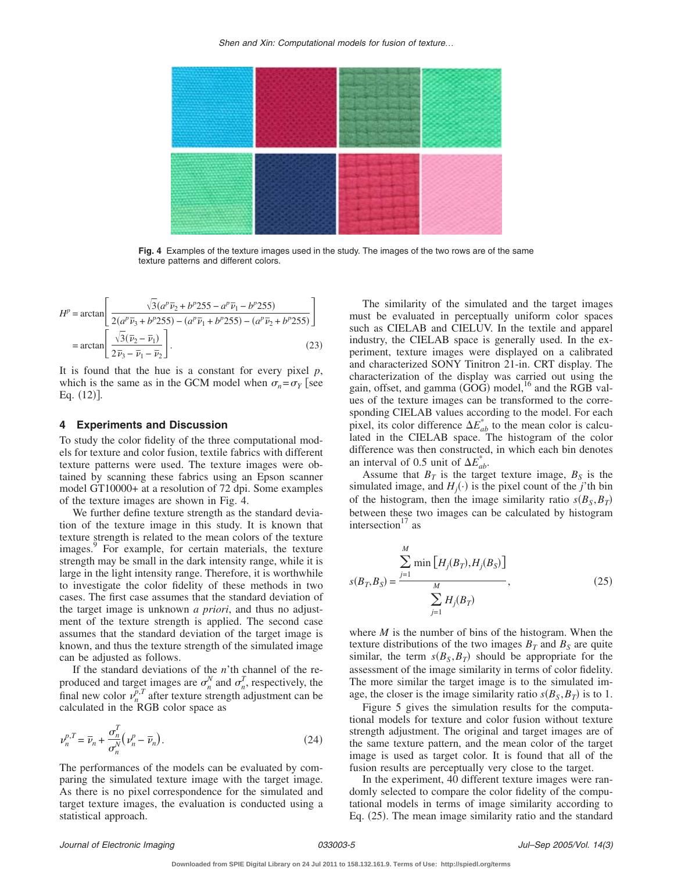

**Fig. 4** Examples of the texture images used in the study. The images of the two rows are of the same texture patterns and different colors.

$$
H^{p} = \arctan\left[\frac{\sqrt{3}(a^{p}\overline{\nu}_{2} + b^{p}255 - a^{p}\overline{\nu}_{1} - b^{p}255)}{2(a^{p}\overline{\nu}_{3} + b^{p}255) - (a^{p}\overline{\nu}_{1} + b^{p}255) - (a^{p}\overline{\nu}_{2} + b^{p}255)}\right]
$$

$$
= \arctan\left[\frac{\sqrt{3}(\overline{\nu}_{2} - \overline{\nu}_{1})}{2\overline{\nu}_{3} - \overline{\nu}_{1} - \overline{\nu}_{2}}\right].
$$
(23)

It is found that the hue is a constant for every pixel *p*, which is the same as in the GCM model when  $\sigma_n = \sigma_Y$  see Eq.  $(12)$ ].

#### **4 Experiments and Discussion**

To study the color fidelity of the three computational models for texture and color fusion, textile fabrics with different texture patterns were used. The texture images were obtained by scanning these fabrics using an Epson scanner model GT10000+ at a resolution of 72 dpi. Some examples of the texture images are shown in Fig. 4.

We further define texture strength as the standard deviation of the texture image in this study. It is known that texture strength is related to the mean colors of the texture images.<sup>9</sup> For example, for certain materials, the texture strength may be small in the dark intensity range, while it is large in the light intensity range. Therefore, it is worthwhile to investigate the color fidelity of these methods in two cases. The first case assumes that the standard deviation of the target image is unknown *a priori*, and thus no adjustment of the texture strength is applied. The second case assumes that the standard deviation of the target image is known, and thus the texture strength of the simulated image can be adjusted as follows.

If the standard deviations of the *n*'th channel of the reproduced and target images are  $\sigma_n^N$  and  $\sigma_n^T$ , respectively, the final new color  $\nu_n^{p,T}$  after texture strength adjustment can be calculated in the RGB color space as

$$
\nu_n^{p,T} = \overline{\nu}_n + \frac{\sigma_n^T}{\sigma_n^N} \left( \nu_n^p - \overline{\nu}_n \right). \tag{24}
$$

The performances of the models can be evaluated by comparing the simulated texture image with the target image. As there is no pixel correspondence for the simulated and target texture images, the evaluation is conducted using a statistical approach.

The similarity of the simulated and the target images must be evaluated in perceptually uniform color spaces such as CIELAB and CIELUV. In the textile and apparel industry, the CIELAB space is generally used. In the experiment, texture images were displayed on a calibrated and characterized SONY Tinitron 21-in. CRT display. The characterization of the display was carried out using the gain, offset, and gamma  $(\overrightarrow{GOG})$  model,<sup>16</sup> and the RGB values of the texture images can be transformed to the corresponding CIELAB values according to the model. For each pixel, its color difference  $\Delta E_{ab}^*$  to the mean color is calculated in the CIELAB space. The histogram of the color difference was then constructed, in which each bin denotes an interval of 0.5 unit of  $\Delta E^*_{ab}$ .

Assume that  $B_T$  is the target texture image,  $B_S$  is the simulated image, and  $H_j(\cdot)$  is the pixel count of the *j*'th bin of the histogram, then the image similarity ratio  $s(B_S, B_T)$ between these two images can be calculated by histogram intersection<sup>17</sup> as

$$
s(B_T, B_S) = \frac{\sum_{j=1}^{M} \min [H_j(B_T), H_j(B_S)]}{\sum_{j=1}^{M} H_j(B_T)},
$$
\n(25)

where *M* is the number of bins of the histogram. When the texture distributions of the two images  $B_T$  and  $B_S$  are quite similar, the term  $s(B_S, B_T)$  should be appropriate for the assessment of the image similarity in terms of color fidelity. The more similar the target image is to the simulated image, the closer is the image similarity ratio  $s(B_S, B_T)$  is to 1.

Figure 5 gives the simulation results for the computational models for texture and color fusion without texture strength adjustment. The original and target images are of the same texture pattern, and the mean color of the target image is used as target color. It is found that all of the fusion results are perceptually very close to the target.

In the experiment, 40 different texture images were randomly selected to compare the color fidelity of the computational models in terms of image similarity according to Eq. (25). The mean image similarity ratio and the standard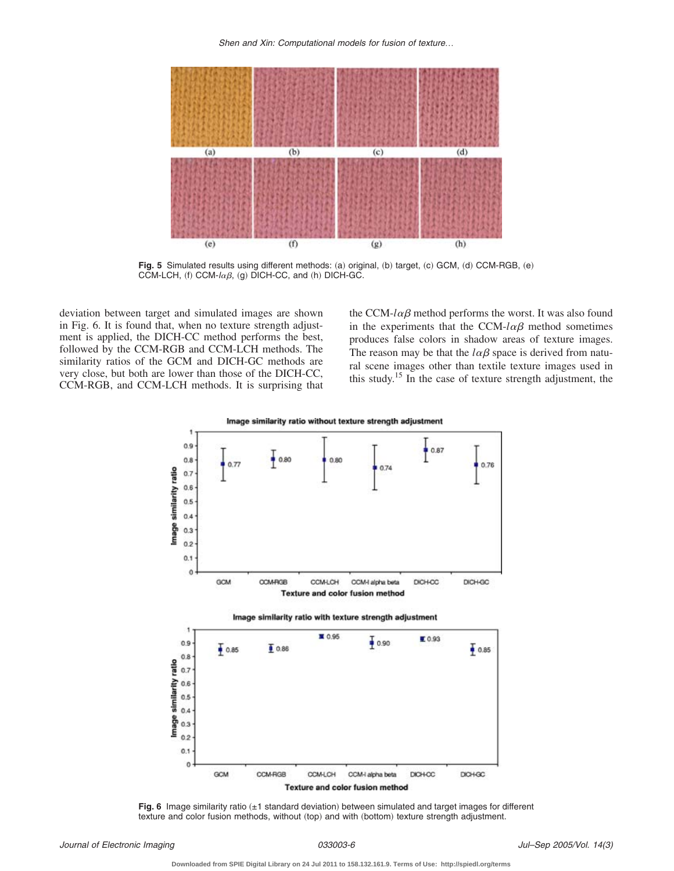*Shen and Xin: Computational models for fusion of texture*…



Fig. 5 Simulated results using different methods: (a) original, (b) target, (c) GCM, (d) CCM-RGB, (e) CCM-LCH, (f) CCM- $l\alpha\beta$ , (g) DICH-CC, and (h) DICH-GC.

deviation between target and simulated images are shown in Fig. 6. It is found that, when no texture strength adjustment is applied, the DICH-CC method performs the best, followed by the CCM-RGB and CCM-LCH methods. The similarity ratios of the GCM and DICH-GC methods are very close, but both are lower than those of the DICH-CC, CCM-RGB, and CCM-LCH methods. It is surprising that

the CCM- $l\alpha\beta$  method performs the worst. It was also found in the experiments that the CCM- $l\alpha\beta$  method sometimes produces false colors in shadow areas of texture images. The reason may be that the  $l\alpha\beta$  space is derived from natural scene images other than textile texture images used in this study.<sup>15</sup> In the case of texture strength adjustment, the



**Fig. 6** Image similarity ratio (±1 standard deviation) between simulated and target images for different texture and color fusion methods, without (top) and with (bottom) texture strength adjustment.